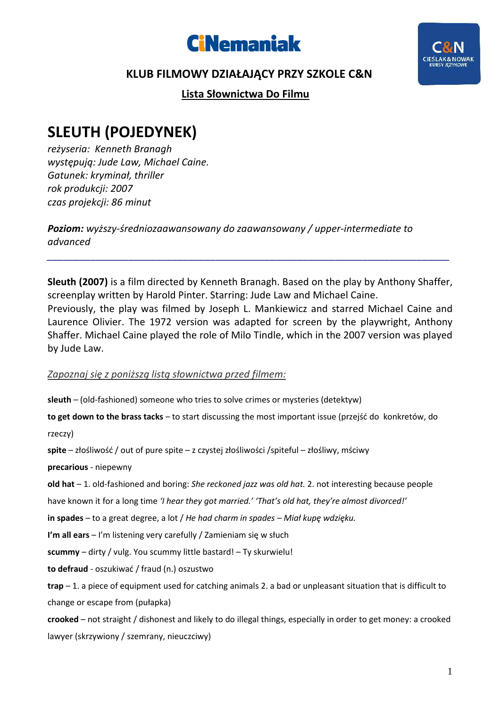



## **KLUB FILMOWY DZIAŁAJĄCY PRZY SZKOLE C&N**

 **Lista Słownictwa Do Filmu** 

## **SLEUTH (POJEDYNEK)**

*reżyseria: Kenneth Branagh występują: Jude Law, Michael Caine. Gatunek: kryminał, thriller rok produkcji: 2007 czas projekcji: 86 minut* 

*Poziom: wyższy-średniozaawansowany do zaawansowany / upper-intermediate to advanced*

**Sleuth (2007)** is a film directed by Kenneth Branagh. Based on the play by Anthony Shaffer, screenplay written by Harold Pinter. Starring: Jude Law and Michael Caine. Previously, the play was filmed by Joseph L. Mankiewicz and starred Michael Caine and Laurence Olivier. The 1972 version was adapted for screen by the playwright, Anthony Shaffer. Michael Caine played the role of Milo Tindle, which in the 2007 version was played by Jude Law.

*\_\_\_\_\_\_\_\_\_\_\_\_\_\_\_\_\_\_\_\_\_\_\_\_\_\_\_\_\_\_\_\_\_\_\_\_\_\_\_\_\_\_\_\_\_\_\_\_\_\_\_\_\_\_\_\_\_\_\_\_\_\_\_\_\_\_\_\_\_\_\_\_\_\_* 

## *Zapoznaj się z poniższą listą słownictwa przed filmem:*

**sleuth** – (old-fashioned) someone who tries to solve crimes or mysteries (detektyw)

**to get down to the brass tacks** – to start discussing the most important issue (przejść do konkretów, do

rzeczy)

**spite** – złośliwość / out of pure spite – z czystej złośliwości /spiteful – złośliwy, mściwy

**precarious** - niepewny

**old hat** – 1. old-fashioned and boring: *She reckoned jazz was old hat.* 2. not interesting because people

have known it for a long time *'I hear they got married.' 'That's old hat, they're almost divorced!'* 

**in spades** – to a great degree, a lot / *He had charm in spades – Miał kupę wdzięku.*

**I'm all ears** – I'm listening very carefully / Zamieniam się w słuch

**scummy** – dirty / vulg. You scummy little bastard! – Ty skurwielu!

**to defraud** - oszukiwać / fraud (n.) oszustwo

**trap** – 1. a piece of equipment used for catching animals 2. a bad or unpleasant situation that is difficult to change or escape from (pułapka)

**crooked** – not straight / dishonest and likely to do illegal things, especially in order to get money: a crooked lawyer (skrzywiony / szemrany, nieuczciwy)